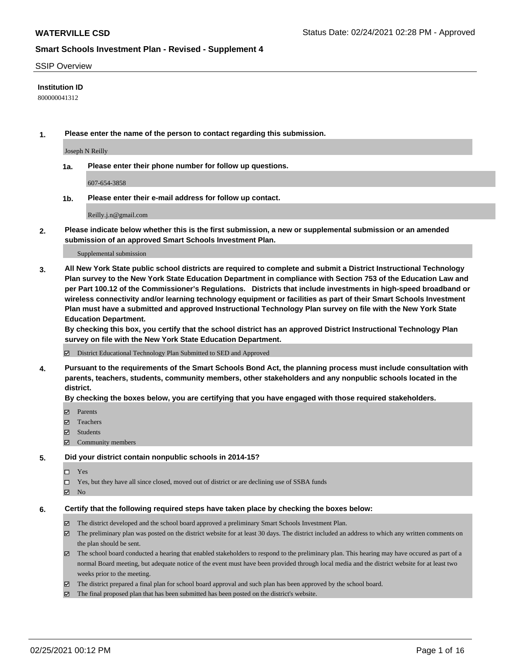#### SSIP Overview

#### **Institution ID**

800000041312

**1. Please enter the name of the person to contact regarding this submission.**

Joseph N Reilly

**1a. Please enter their phone number for follow up questions.**

607-654-3858

**1b. Please enter their e-mail address for follow up contact.**

Reilly.j.n@gmail.com

**2. Please indicate below whether this is the first submission, a new or supplemental submission or an amended submission of an approved Smart Schools Investment Plan.**

#### Supplemental submission

**3. All New York State public school districts are required to complete and submit a District Instructional Technology Plan survey to the New York State Education Department in compliance with Section 753 of the Education Law and per Part 100.12 of the Commissioner's Regulations. Districts that include investments in high-speed broadband or wireless connectivity and/or learning technology equipment or facilities as part of their Smart Schools Investment Plan must have a submitted and approved Instructional Technology Plan survey on file with the New York State Education Department.** 

**By checking this box, you certify that the school district has an approved District Instructional Technology Plan survey on file with the New York State Education Department.**

District Educational Technology Plan Submitted to SED and Approved

**4. Pursuant to the requirements of the Smart Schools Bond Act, the planning process must include consultation with parents, teachers, students, community members, other stakeholders and any nonpublic schools located in the district.** 

#### **By checking the boxes below, you are certifying that you have engaged with those required stakeholders.**

- **Ø** Parents
- Teachers
- Students
- $\Xi$  Community members

#### **5. Did your district contain nonpublic schools in 2014-15?**

- □ Yes
- □ Yes, but they have all since closed, moved out of district or are declining use of SSBA funds
- **Ø** No

#### **6. Certify that the following required steps have taken place by checking the boxes below:**

- The district developed and the school board approved a preliminary Smart Schools Investment Plan.
- The preliminary plan was posted on the district website for at least 30 days. The district included an address to which any written comments on the plan should be sent.
- The school board conducted a hearing that enabled stakeholders to respond to the preliminary plan. This hearing may have occured as part of a normal Board meeting, but adequate notice of the event must have been provided through local media and the district website for at least two weeks prior to the meeting.
- The district prepared a final plan for school board approval and such plan has been approved by the school board.
- $\boxtimes$  The final proposed plan that has been submitted has been posted on the district's website.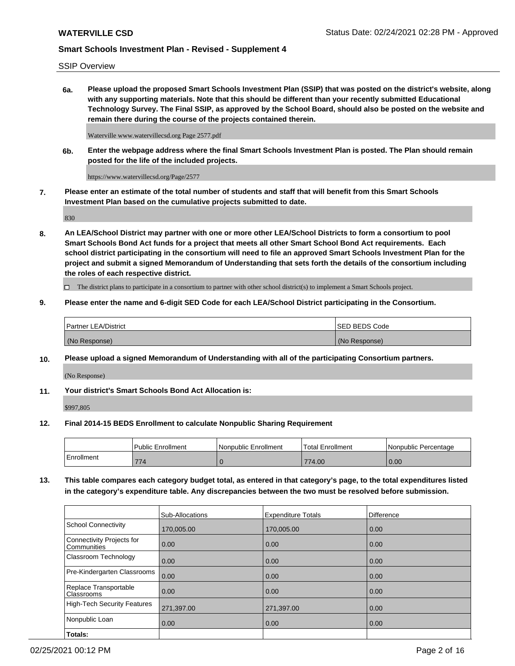SSIP Overview

**6a. Please upload the proposed Smart Schools Investment Plan (SSIP) that was posted on the district's website, along with any supporting materials. Note that this should be different than your recently submitted Educational Technology Survey. The Final SSIP, as approved by the School Board, should also be posted on the website and remain there during the course of the projects contained therein.**

Waterville www.watervillecsd.org Page 2577.pdf

**6b. Enter the webpage address where the final Smart Schools Investment Plan is posted. The Plan should remain posted for the life of the included projects.**

https://www.watervillecsd.org/Page/2577

**7. Please enter an estimate of the total number of students and staff that will benefit from this Smart Schools Investment Plan based on the cumulative projects submitted to date.**

830

**8. An LEA/School District may partner with one or more other LEA/School Districts to form a consortium to pool Smart Schools Bond Act funds for a project that meets all other Smart School Bond Act requirements. Each school district participating in the consortium will need to file an approved Smart Schools Investment Plan for the project and submit a signed Memorandum of Understanding that sets forth the details of the consortium including the roles of each respective district.**

 $\Box$  The district plans to participate in a consortium to partner with other school district(s) to implement a Smart Schools project.

### **9. Please enter the name and 6-digit SED Code for each LEA/School District participating in the Consortium.**

| Partner LEA/District | <b>ISED BEDS Code</b> |
|----------------------|-----------------------|
| (No Response)        | (No Response)         |

#### **10. Please upload a signed Memorandum of Understanding with all of the participating Consortium partners.**

(No Response)

**11. Your district's Smart Schools Bond Act Allocation is:**

\$997,805

#### **12. Final 2014-15 BEDS Enrollment to calculate Nonpublic Sharing Requirement**

|            | Public Enrollment | Nonpublic Enrollment | Total Enrollment | Nonpublic Percentage |
|------------|-------------------|----------------------|------------------|----------------------|
| Enrollment | 774               |                      | 774.00           | 0.00                 |

**13. This table compares each category budget total, as entered in that category's page, to the total expenditures listed in the category's expenditure table. Any discrepancies between the two must be resolved before submission.**

|                                          | Sub-Allocations | <b>Expenditure Totals</b> | <b>Difference</b> |
|------------------------------------------|-----------------|---------------------------|-------------------|
| <b>School Connectivity</b>               | 170,005.00      | 170,005.00                | 0.00              |
| Connectivity Projects for<br>Communities | 0.00            | 0.00                      | 0.00              |
| Classroom Technology                     | 0.00            | 0.00                      | 0.00              |
| Pre-Kindergarten Classrooms              | 0.00            | 0.00                      | 0.00              |
| Replace Transportable<br>Classrooms      | 0.00            | 0.00                      | 0.00              |
| High-Tech Security Features              | 271,397.00      | 271,397.00                | 0.00              |
| Nonpublic Loan                           | 0.00            | 0.00                      | 0.00              |
| Totals:                                  |                 |                           |                   |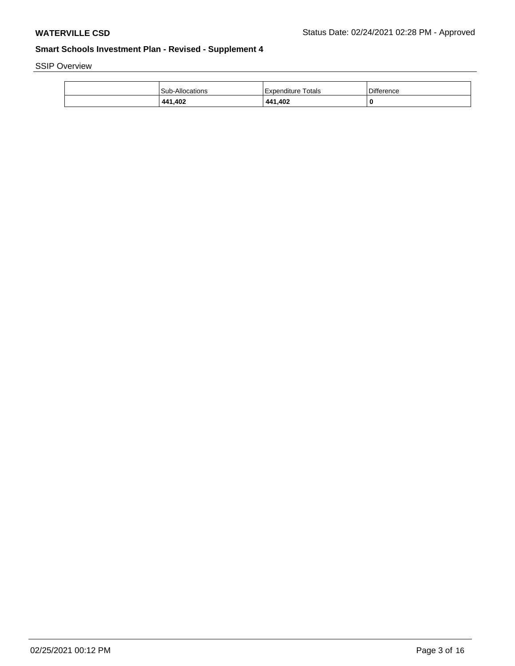SSIP Overview

| Sub-Allocations | l Expenditure Totals | <b>Difference</b> |
|-----------------|----------------------|-------------------|
| 441,402         | 441,402              |                   |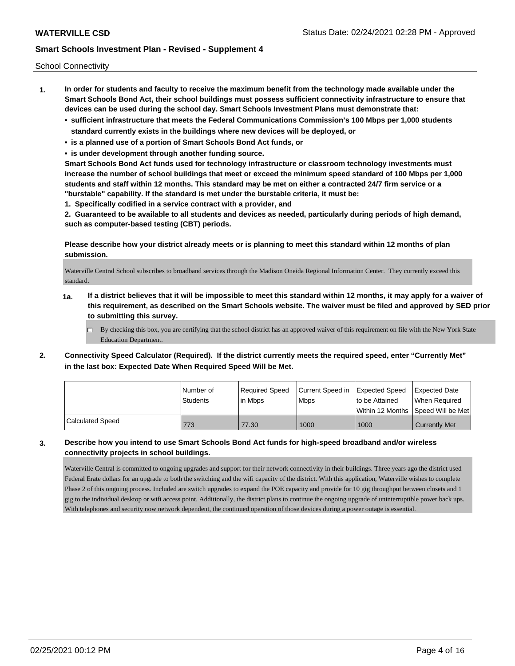School Connectivity

- **1. In order for students and faculty to receive the maximum benefit from the technology made available under the Smart Schools Bond Act, their school buildings must possess sufficient connectivity infrastructure to ensure that devices can be used during the school day. Smart Schools Investment Plans must demonstrate that:**
	- **• sufficient infrastructure that meets the Federal Communications Commission's 100 Mbps per 1,000 students standard currently exists in the buildings where new devices will be deployed, or**
	- **• is a planned use of a portion of Smart Schools Bond Act funds, or**
	- **• is under development through another funding source.**

**Smart Schools Bond Act funds used for technology infrastructure or classroom technology investments must increase the number of school buildings that meet or exceed the minimum speed standard of 100 Mbps per 1,000 students and staff within 12 months. This standard may be met on either a contracted 24/7 firm service or a "burstable" capability. If the standard is met under the burstable criteria, it must be:**

**1. Specifically codified in a service contract with a provider, and**

**2. Guaranteed to be available to all students and devices as needed, particularly during periods of high demand, such as computer-based testing (CBT) periods.**

**Please describe how your district already meets or is planning to meet this standard within 12 months of plan submission.**

Waterville Central School subscribes to broadband services through the Madison Oneida Regional Information Center. They currently exceed this standard.

- **1a. If a district believes that it will be impossible to meet this standard within 12 months, it may apply for a waiver of this requirement, as described on the Smart Schools website. The waiver must be filed and approved by SED prior to submitting this survey.**
	- $\Box$  By checking this box, you are certifying that the school district has an approved waiver of this requirement on file with the New York State Education Department.
- **2. Connectivity Speed Calculator (Required). If the district currently meets the required speed, enter "Currently Met" in the last box: Expected Date When Required Speed Will be Met.**

|                  | INumber of      | Required Speed | Current Speed in Expected Speed |                                      | Expected Date        |
|------------------|-----------------|----------------|---------------------------------|--------------------------------------|----------------------|
|                  | <b>Students</b> | l in Mbps      | <b>Mbps</b>                     | to be Attained                       | When Required        |
|                  |                 |                |                                 | Within 12 Months 1Speed Will be Met1 |                      |
| Calculated Speed | 773             | 77.30          | 1000                            | 1000                                 | <b>Currently Met</b> |

**3. Describe how you intend to use Smart Schools Bond Act funds for high-speed broadband and/or wireless connectivity projects in school buildings.**

Waterville Central is committed to ongoing upgrades and support for their network connectivity in their buildings. Three years ago the district used Federal Erate dollars for an upgrade to both the switching and the wifi capacity of the district. With this application, Waterville wishes to complete Phase 2 of this ongoing process. Included are switch upgrades to expand the POE capacity and provide for 10 gig throughput between closets and 1 gig to the individual desktop or wifi access point. Additionally, the district plans to continue the ongoing upgrade of uninterruptible power back ups. With telephones and security now network dependent, the continued operation of those devices during a power outage is essential.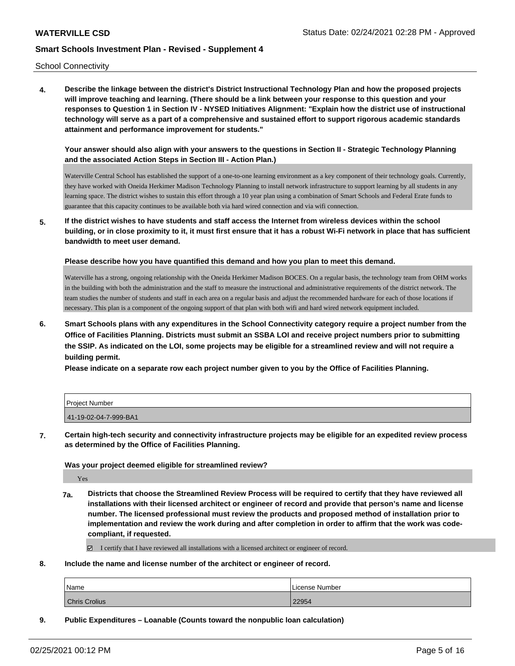School Connectivity

**4. Describe the linkage between the district's District Instructional Technology Plan and how the proposed projects will improve teaching and learning. (There should be a link between your response to this question and your responses to Question 1 in Section IV - NYSED Initiatives Alignment: "Explain how the district use of instructional technology will serve as a part of a comprehensive and sustained effort to support rigorous academic standards attainment and performance improvement for students."** 

**Your answer should also align with your answers to the questions in Section II - Strategic Technology Planning and the associated Action Steps in Section III - Action Plan.)**

Waterville Central School has established the support of a one-to-one learning environment as a key component of their technology goals. Currently, they have worked with Oneida Herkimer Madison Technology Planning to install network infrastructure to support learning by all students in any learning space. The district wishes to sustain this effort through a 10 year plan using a combination of Smart Schools and Federal Erate funds to guarantee that this capacity continues to be available both via hard wired connection and via wifi connection.

**5. If the district wishes to have students and staff access the Internet from wireless devices within the school building, or in close proximity to it, it must first ensure that it has a robust Wi-Fi network in place that has sufficient bandwidth to meet user demand.**

**Please describe how you have quantified this demand and how you plan to meet this demand.**

Waterville has a strong, ongoing relationship with the Oneida Herkimer Madison BOCES. On a regular basis, the technology team from OHM works in the building with both the administration and the staff to measure the instructional and administrative requirements of the district network. The team studies the number of students and staff in each area on a regular basis and adjust the recommended hardware for each of those locations if necessary. This plan is a component of the ongoing support of that plan with both wifi and hard wired network equipment included.

**6. Smart Schools plans with any expenditures in the School Connectivity category require a project number from the Office of Facilities Planning. Districts must submit an SSBA LOI and receive project numbers prior to submitting the SSIP. As indicated on the LOI, some projects may be eligible for a streamlined review and will not require a building permit.**

**Please indicate on a separate row each project number given to you by the Office of Facilities Planning.**

| Project Number        |  |
|-----------------------|--|
| 41-19-02-04-7-999-BA1 |  |

**7. Certain high-tech security and connectivity infrastructure projects may be eligible for an expedited review process as determined by the Office of Facilities Planning.**

#### **Was your project deemed eligible for streamlined review?**

Yes

**7a. Districts that choose the Streamlined Review Process will be required to certify that they have reviewed all installations with their licensed architect or engineer of record and provide that person's name and license number. The licensed professional must review the products and proposed method of installation prior to implementation and review the work during and after completion in order to affirm that the work was codecompliant, if requested.**

 $\boxtimes$  I certify that I have reviewed all installations with a licensed architect or engineer of record.

**8. Include the name and license number of the architect or engineer of record.**

| Name                 | License Number |
|----------------------|----------------|
| <b>Chris Crolius</b> | 22954          |

**9. Public Expenditures – Loanable (Counts toward the nonpublic loan calculation)**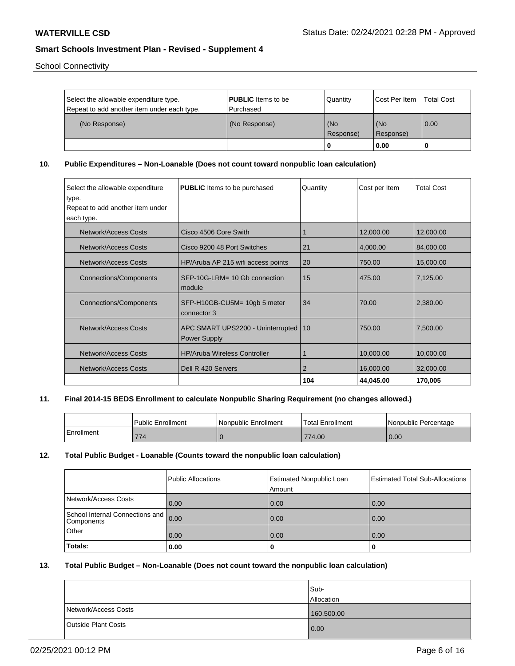School Connectivity

| Select the allowable expenditure type.<br>Repeat to add another item under each type. | <b>PUBLIC</b> Items to be<br>l Purchased | <b>Quantity</b>  | <b>Cost Per Item</b> | <b>Total Cost</b> |
|---------------------------------------------------------------------------------------|------------------------------------------|------------------|----------------------|-------------------|
| (No Response)                                                                         | (No Response)                            | (No<br>Response) | l (No<br>Response)   | $\overline{0.00}$ |
|                                                                                       |                                          | 0                | 0.00                 |                   |

**10. Public Expenditures – Non-Loanable (Does not count toward nonpublic loan calculation)**

| Select the allowable expenditure | <b>PUBLIC</b> Items to be purchased                    | Quantity | Cost per Item | <b>Total Cost</b> |
|----------------------------------|--------------------------------------------------------|----------|---------------|-------------------|
| type.                            |                                                        |          |               |                   |
| Repeat to add another item under |                                                        |          |               |                   |
| each type.                       |                                                        |          |               |                   |
| Network/Access Costs             | Cisco 4506 Core Swith                                  |          | 12,000.00     | 12,000.00         |
| Network/Access Costs             | Cisco 9200 48 Port Switches                            | 21       | 4,000.00      | 84,000.00         |
| <b>Network/Access Costs</b>      | HP/Aruba AP 215 wifi access points                     | 20       | 750.00        | 15,000.00         |
| <b>Connections/Components</b>    | SFP-10G-LRM= 10 Gb connection<br>module                | 15       | 475.00        | 7,125.00          |
| <b>Connections/Components</b>    | SFP-H10GB-CU5M= 10gb 5 meter<br>connector 3            | 34       | 70.00         | 2,380.00          |
| Network/Access Costs             | APC SMART UPS2200 - Uninterrupted   10<br>Power Supply |          | 750.00        | 7,500.00          |
| <b>Network/Access Costs</b>      | <b>HP/Aruba Wireless Controller</b>                    |          | 10,000.00     | 10,000.00         |
| Network/Access Costs             | Dell R 420 Servers                                     | 2        | 16,000.00     | 32,000.00         |
|                                  |                                                        | 104      | 44,045.00     | 170,005           |

### **11. Final 2014-15 BEDS Enrollment to calculate Nonpublic Sharing Requirement (no changes allowed.)**

|            | <b>Public Enrollment</b> | Nonpublic Enrollment | <b>Total Enrollment</b> | l Nonpublic Percentage |
|------------|--------------------------|----------------------|-------------------------|------------------------|
| Enrollment | 77.<br>$\frac{1}{4}$     |                      | 774.00                  | 0.00                   |

#### **12. Total Public Budget - Loanable (Counts toward the nonpublic loan calculation)**

|                                               | Public Allocations | <b>Estimated Nonpublic Loan</b><br>Amount | <b>Estimated Total Sub-Allocations</b> |
|-----------------------------------------------|--------------------|-------------------------------------------|----------------------------------------|
| Network/Access Costs                          | 0.00               | 0.00                                      | 0.00                                   |
| School Internal Connections and<br>Components | 0.00               | 0.00                                      | 0.00                                   |
| Other                                         | 0.00               | 0.00                                      | 0.00                                   |
| Totals:                                       | 0.00               |                                           |                                        |

### **13. Total Public Budget – Non-Loanable (Does not count toward the nonpublic loan calculation)**

|                            | lSub-      |
|----------------------------|------------|
|                            | Allocation |
| Network/Access Costs       | 160,500.00 |
| <b>Outside Plant Costs</b> | 0.00       |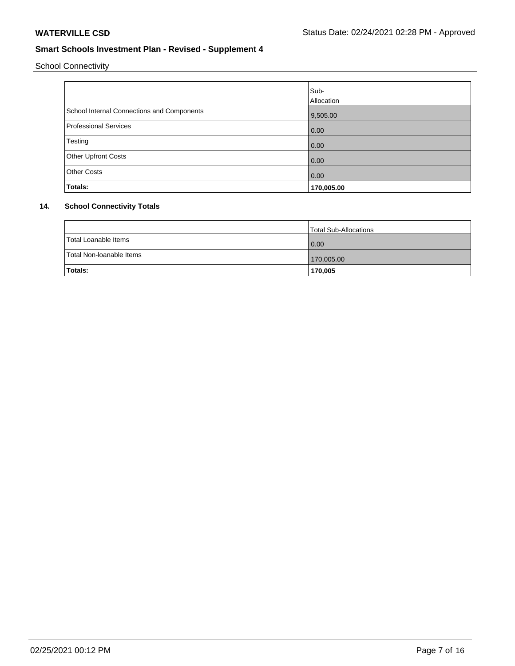School Connectivity

|                                            | Sub-<br>Allocation |
|--------------------------------------------|--------------------|
| School Internal Connections and Components | 9,505.00           |
| <b>Professional Services</b>               | 0.00               |
| Testing                                    | 0.00               |
| Other Upfront Costs                        | 0.00               |
| <b>Other Costs</b>                         | 0.00               |
| Totals:                                    | 170,005.00         |

## **14. School Connectivity Totals**

|                          | Total Sub-Allocations |
|--------------------------|-----------------------|
| Total Loanable Items     | 0.00                  |
| Total Non-Ioanable Items | 170,005.00            |
| Totals:                  | 170,005               |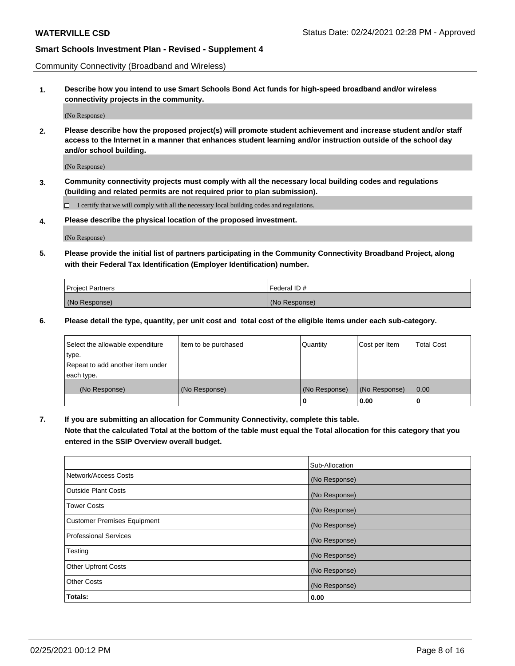Community Connectivity (Broadband and Wireless)

**1. Describe how you intend to use Smart Schools Bond Act funds for high-speed broadband and/or wireless connectivity projects in the community.**

(No Response)

**2. Please describe how the proposed project(s) will promote student achievement and increase student and/or staff access to the Internet in a manner that enhances student learning and/or instruction outside of the school day and/or school building.**

(No Response)

**3. Community connectivity projects must comply with all the necessary local building codes and regulations (building and related permits are not required prior to plan submission).**

 $\Box$  I certify that we will comply with all the necessary local building codes and regulations.

**4. Please describe the physical location of the proposed investment.**

(No Response)

**5. Please provide the initial list of partners participating in the Community Connectivity Broadband Project, along with their Federal Tax Identification (Employer Identification) number.**

| <b>Project Partners</b> | l Federal ID # |
|-------------------------|----------------|
| (No Response)           | (No Response)  |

**6. Please detail the type, quantity, per unit cost and total cost of the eligible items under each sub-category.**

| Select the allowable expenditure | Item to be purchased | Quantity      | Cost per Item | <b>Total Cost</b> |
|----------------------------------|----------------------|---------------|---------------|-------------------|
| type.                            |                      |               |               |                   |
| Repeat to add another item under |                      |               |               |                   |
| each type.                       |                      |               |               |                   |
| (No Response)                    | (No Response)        | (No Response) | (No Response) | 0.00              |
|                                  |                      | o             | 0.00          |                   |

**7. If you are submitting an allocation for Community Connectivity, complete this table.**

**Note that the calculated Total at the bottom of the table must equal the Total allocation for this category that you entered in the SSIP Overview overall budget.**

|                                    | Sub-Allocation |
|------------------------------------|----------------|
| Network/Access Costs               | (No Response)  |
| Outside Plant Costs                | (No Response)  |
| <b>Tower Costs</b>                 | (No Response)  |
| <b>Customer Premises Equipment</b> | (No Response)  |
| <b>Professional Services</b>       | (No Response)  |
| Testing                            | (No Response)  |
| <b>Other Upfront Costs</b>         | (No Response)  |
| <b>Other Costs</b>                 | (No Response)  |
| Totals:                            | 0.00           |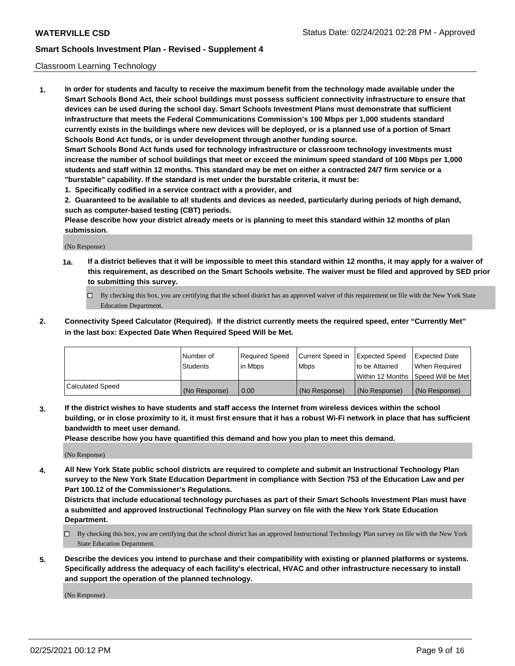#### Classroom Learning Technology

**1. In order for students and faculty to receive the maximum benefit from the technology made available under the Smart Schools Bond Act, their school buildings must possess sufficient connectivity infrastructure to ensure that devices can be used during the school day. Smart Schools Investment Plans must demonstrate that sufficient infrastructure that meets the Federal Communications Commission's 100 Mbps per 1,000 students standard currently exists in the buildings where new devices will be deployed, or is a planned use of a portion of Smart Schools Bond Act funds, or is under development through another funding source. Smart Schools Bond Act funds used for technology infrastructure or classroom technology investments must increase the number of school buildings that meet or exceed the minimum speed standard of 100 Mbps per 1,000 students and staff within 12 months. This standard may be met on either a contracted 24/7 firm service or a "burstable" capability. If the standard is met under the burstable criteria, it must be:**

**1. Specifically codified in a service contract with a provider, and**

**2. Guaranteed to be available to all students and devices as needed, particularly during periods of high demand, such as computer-based testing (CBT) periods.**

**Please describe how your district already meets or is planning to meet this standard within 12 months of plan submission.**

(No Response)

- **1a. If a district believes that it will be impossible to meet this standard within 12 months, it may apply for a waiver of this requirement, as described on the Smart Schools website. The waiver must be filed and approved by SED prior to submitting this survey.**
	- By checking this box, you are certifying that the school district has an approved waiver of this requirement on file with the New York State Education Department.
- **2. Connectivity Speed Calculator (Required). If the district currently meets the required speed, enter "Currently Met" in the last box: Expected Date When Required Speed Will be Met.**

|                  | l Number of     | Required Speed | Current Speed in | <b>Expected Speed</b> | <b>Expected Date</b>                |
|------------------|-----------------|----------------|------------------|-----------------------|-------------------------------------|
|                  | <b>Students</b> | l in Mbps      | l Mbps           | to be Attained        | When Required                       |
|                  |                 |                |                  |                       | Within 12 Months  Speed Will be Met |
| Calculated Speed | (No Response)   | 0.00           | (No Response)    | l (No Response)       | (No Response)                       |

**3. If the district wishes to have students and staff access the Internet from wireless devices within the school building, or in close proximity to it, it must first ensure that it has a robust Wi-Fi network in place that has sufficient bandwidth to meet user demand.**

**Please describe how you have quantified this demand and how you plan to meet this demand.**

(No Response)

**4. All New York State public school districts are required to complete and submit an Instructional Technology Plan survey to the New York State Education Department in compliance with Section 753 of the Education Law and per Part 100.12 of the Commissioner's Regulations.**

**Districts that include educational technology purchases as part of their Smart Schools Investment Plan must have a submitted and approved Instructional Technology Plan survey on file with the New York State Education Department.**

- By checking this box, you are certifying that the school district has an approved Instructional Technology Plan survey on file with the New York State Education Department.
- **5. Describe the devices you intend to purchase and their compatibility with existing or planned platforms or systems. Specifically address the adequacy of each facility's electrical, HVAC and other infrastructure necessary to install and support the operation of the planned technology.**

(No Response)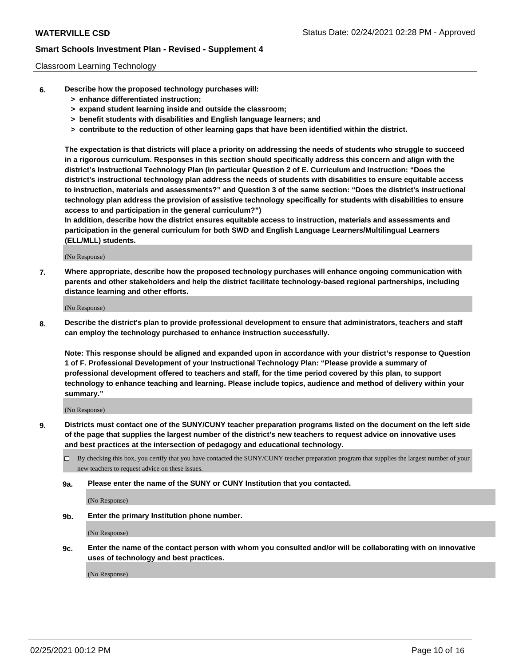#### Classroom Learning Technology

- **6. Describe how the proposed technology purchases will:**
	- **> enhance differentiated instruction;**
	- **> expand student learning inside and outside the classroom;**
	- **> benefit students with disabilities and English language learners; and**
	- **> contribute to the reduction of other learning gaps that have been identified within the district.**

**The expectation is that districts will place a priority on addressing the needs of students who struggle to succeed in a rigorous curriculum. Responses in this section should specifically address this concern and align with the district's Instructional Technology Plan (in particular Question 2 of E. Curriculum and Instruction: "Does the district's instructional technology plan address the needs of students with disabilities to ensure equitable access to instruction, materials and assessments?" and Question 3 of the same section: "Does the district's instructional technology plan address the provision of assistive technology specifically for students with disabilities to ensure access to and participation in the general curriculum?")**

**In addition, describe how the district ensures equitable access to instruction, materials and assessments and participation in the general curriculum for both SWD and English Language Learners/Multilingual Learners (ELL/MLL) students.**

(No Response)

**7. Where appropriate, describe how the proposed technology purchases will enhance ongoing communication with parents and other stakeholders and help the district facilitate technology-based regional partnerships, including distance learning and other efforts.**

(No Response)

**8. Describe the district's plan to provide professional development to ensure that administrators, teachers and staff can employ the technology purchased to enhance instruction successfully.**

**Note: This response should be aligned and expanded upon in accordance with your district's response to Question 1 of F. Professional Development of your Instructional Technology Plan: "Please provide a summary of professional development offered to teachers and staff, for the time period covered by this plan, to support technology to enhance teaching and learning. Please include topics, audience and method of delivery within your summary."**

(No Response)

- **9. Districts must contact one of the SUNY/CUNY teacher preparation programs listed on the document on the left side of the page that supplies the largest number of the district's new teachers to request advice on innovative uses and best practices at the intersection of pedagogy and educational technology.**
	- By checking this box, you certify that you have contacted the SUNY/CUNY teacher preparation program that supplies the largest number of your new teachers to request advice on these issues.
	- **9a. Please enter the name of the SUNY or CUNY Institution that you contacted.**

(No Response)

**9b. Enter the primary Institution phone number.**

(No Response)

**9c. Enter the name of the contact person with whom you consulted and/or will be collaborating with on innovative uses of technology and best practices.**

(No Response)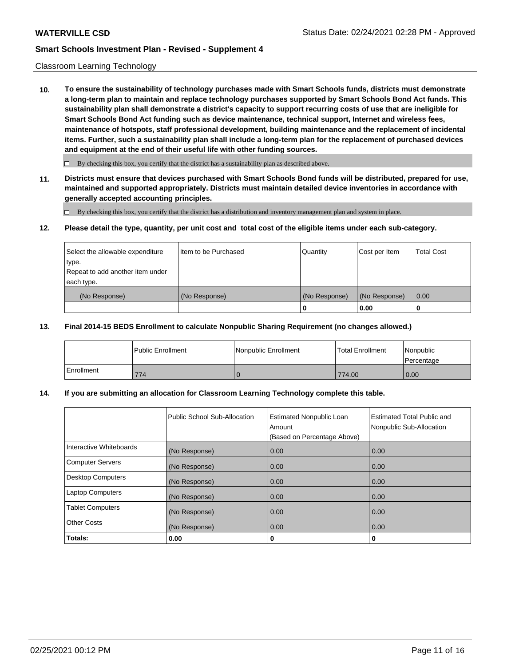#### Classroom Learning Technology

**10. To ensure the sustainability of technology purchases made with Smart Schools funds, districts must demonstrate a long-term plan to maintain and replace technology purchases supported by Smart Schools Bond Act funds. This sustainability plan shall demonstrate a district's capacity to support recurring costs of use that are ineligible for Smart Schools Bond Act funding such as device maintenance, technical support, Internet and wireless fees, maintenance of hotspots, staff professional development, building maintenance and the replacement of incidental items. Further, such a sustainability plan shall include a long-term plan for the replacement of purchased devices and equipment at the end of their useful life with other funding sources.**

 $\Box$  By checking this box, you certify that the district has a sustainability plan as described above.

**11. Districts must ensure that devices purchased with Smart Schools Bond funds will be distributed, prepared for use, maintained and supported appropriately. Districts must maintain detailed device inventories in accordance with generally accepted accounting principles.**

By checking this box, you certify that the district has a distribution and inventory management plan and system in place.

#### **12. Please detail the type, quantity, per unit cost and total cost of the eligible items under each sub-category.**

| Select the allowable expenditure<br>type.<br>Repeat to add another item under | Item to be Purchased | Quantity      | Cost per Item | <b>Total Cost</b> |
|-------------------------------------------------------------------------------|----------------------|---------------|---------------|-------------------|
| each type.<br>(No Response)                                                   | (No Response)        | (No Response) | (No Response) | 0.00              |
|                                                                               |                      | 0             | 0.00          |                   |

#### **13. Final 2014-15 BEDS Enrollment to calculate Nonpublic Sharing Requirement (no changes allowed.)**

|            | <b>Public Enrollment</b> | Nonpublic Enrollment | <b>Total Enrollment</b> | Nonpublic<br>l Percentage |
|------------|--------------------------|----------------------|-------------------------|---------------------------|
| Enrollment | 774                      |                      | 774.00                  | 0.00                      |

#### **14. If you are submitting an allocation for Classroom Learning Technology complete this table.**

|                         | Public School Sub-Allocation | <b>Estimated Nonpublic Loan</b><br>Amount<br>(Based on Percentage Above) | <b>Estimated Total Public and</b><br>Nonpublic Sub-Allocation |
|-------------------------|------------------------------|--------------------------------------------------------------------------|---------------------------------------------------------------|
| Interactive Whiteboards | (No Response)                | 0.00                                                                     | 0.00                                                          |
| Computer Servers        | (No Response)                | 0.00                                                                     | 0.00                                                          |
| Desktop Computers       | (No Response)                | 0.00                                                                     | 0.00                                                          |
| <b>Laptop Computers</b> | (No Response)                | 0.00                                                                     | 0.00                                                          |
| <b>Tablet Computers</b> | (No Response)                | 0.00                                                                     | 0.00                                                          |
| Other Costs             | (No Response)                | 0.00                                                                     | 0.00                                                          |
| Totals:                 | 0.00                         | 0                                                                        | 0                                                             |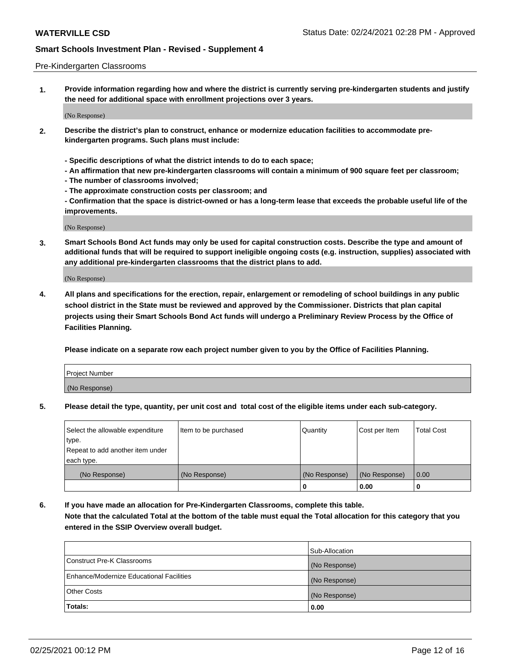#### Pre-Kindergarten Classrooms

**1. Provide information regarding how and where the district is currently serving pre-kindergarten students and justify the need for additional space with enrollment projections over 3 years.**

(No Response)

- **2. Describe the district's plan to construct, enhance or modernize education facilities to accommodate prekindergarten programs. Such plans must include:**
	- **Specific descriptions of what the district intends to do to each space;**
	- **An affirmation that new pre-kindergarten classrooms will contain a minimum of 900 square feet per classroom;**
	- **The number of classrooms involved;**
	- **The approximate construction costs per classroom; and**
	- **Confirmation that the space is district-owned or has a long-term lease that exceeds the probable useful life of the improvements.**

(No Response)

**3. Smart Schools Bond Act funds may only be used for capital construction costs. Describe the type and amount of additional funds that will be required to support ineligible ongoing costs (e.g. instruction, supplies) associated with any additional pre-kindergarten classrooms that the district plans to add.**

(No Response)

**4. All plans and specifications for the erection, repair, enlargement or remodeling of school buildings in any public school district in the State must be reviewed and approved by the Commissioner. Districts that plan capital projects using their Smart Schools Bond Act funds will undergo a Preliminary Review Process by the Office of Facilities Planning.**

**Please indicate on a separate row each project number given to you by the Office of Facilities Planning.**

| Project Number |  |
|----------------|--|
| (No Response)  |  |
|                |  |

**5. Please detail the type, quantity, per unit cost and total cost of the eligible items under each sub-category.**

| Select the allowable expenditure | Item to be purchased | Quantity      | Cost per Item | <b>Total Cost</b> |
|----------------------------------|----------------------|---------------|---------------|-------------------|
| type.                            |                      |               |               |                   |
| Repeat to add another item under |                      |               |               |                   |
| each type.                       |                      |               |               |                   |
| (No Response)                    | (No Response)        | (No Response) | (No Response) | 0.00              |
|                                  |                      | υ             | 0.00          |                   |

**6. If you have made an allocation for Pre-Kindergarten Classrooms, complete this table. Note that the calculated Total at the bottom of the table must equal the Total allocation for this category that you entered in the SSIP Overview overall budget.**

|                                          | Sub-Allocation |
|------------------------------------------|----------------|
| Construct Pre-K Classrooms               | (No Response)  |
| Enhance/Modernize Educational Facilities | (No Response)  |
| <b>Other Costs</b>                       | (No Response)  |
| Totals:                                  | 0.00           |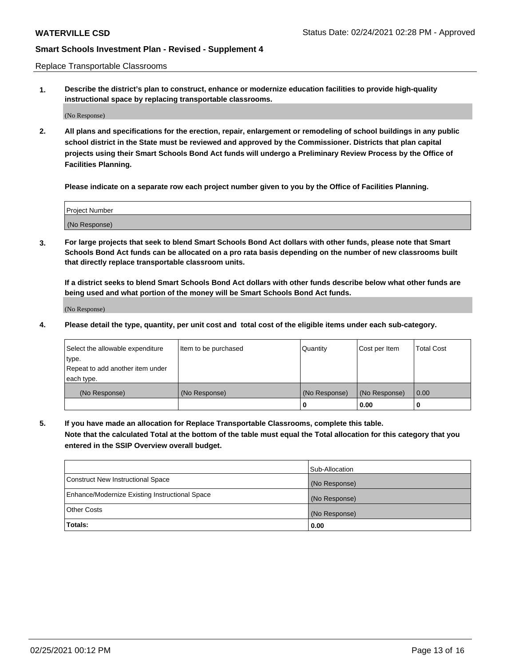Replace Transportable Classrooms

**1. Describe the district's plan to construct, enhance or modernize education facilities to provide high-quality instructional space by replacing transportable classrooms.**

(No Response)

**2. All plans and specifications for the erection, repair, enlargement or remodeling of school buildings in any public school district in the State must be reviewed and approved by the Commissioner. Districts that plan capital projects using their Smart Schools Bond Act funds will undergo a Preliminary Review Process by the Office of Facilities Planning.**

**Please indicate on a separate row each project number given to you by the Office of Facilities Planning.**

| Project Number |  |
|----------------|--|
|                |  |
|                |  |
|                |  |
| (No Response)  |  |
|                |  |
|                |  |

**3. For large projects that seek to blend Smart Schools Bond Act dollars with other funds, please note that Smart Schools Bond Act funds can be allocated on a pro rata basis depending on the number of new classrooms built that directly replace transportable classroom units.**

**If a district seeks to blend Smart Schools Bond Act dollars with other funds describe below what other funds are being used and what portion of the money will be Smart Schools Bond Act funds.**

(No Response)

**4. Please detail the type, quantity, per unit cost and total cost of the eligible items under each sub-category.**

| Select the allowable expenditure | Item to be purchased | Quantity      | Cost per Item | Total Cost |
|----------------------------------|----------------------|---------------|---------------|------------|
| ∣type.                           |                      |               |               |            |
| Repeat to add another item under |                      |               |               |            |
| each type.                       |                      |               |               |            |
| (No Response)                    | (No Response)        | (No Response) | (No Response) | 0.00       |
|                                  |                      | u             | 0.00          |            |

**5. If you have made an allocation for Replace Transportable Classrooms, complete this table. Note that the calculated Total at the bottom of the table must equal the Total allocation for this category that you entered in the SSIP Overview overall budget.**

|                                                | Sub-Allocation |
|------------------------------------------------|----------------|
| Construct New Instructional Space              | (No Response)  |
| Enhance/Modernize Existing Instructional Space | (No Response)  |
| Other Costs                                    | (No Response)  |
| Totals:                                        | 0.00           |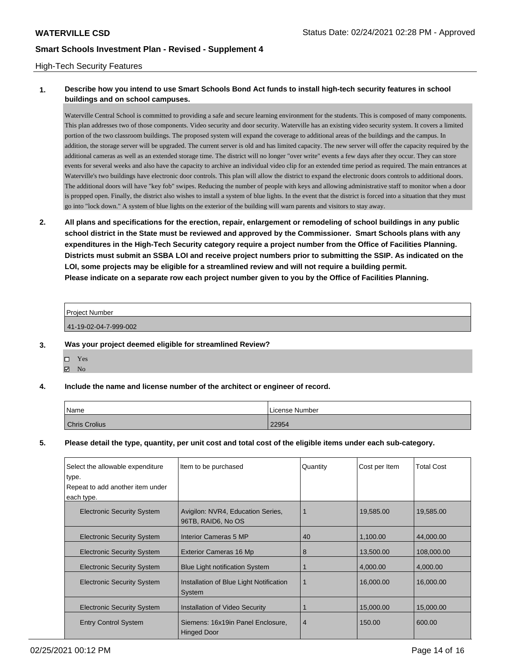#### High-Tech Security Features

### **1. Describe how you intend to use Smart Schools Bond Act funds to install high-tech security features in school buildings and on school campuses.**

Waterville Central School is committed to providing a safe and secure learning environment for the students. This is composed of many components. This plan addresses two of those components. Video security and door security. Waterville has an existing video security system. It covers a limited portion of the two classroom buildings. The proposed system will expand the coverage to additional areas of the buildings and the campus. In addition, the storage server will be upgraded. The current server is old and has limited capacity. The new server will offer the capacity required by the additional cameras as well as an extended storage time. The district will no longer "over write" events a few days after they occur. They can store events for several weeks and also have the capacity to archive an individual video clip for an extended time period as required. The main entrances at Waterville's two buildings have electronic door controls. This plan will allow the district to expand the electronic doors controls to additional doors. The additional doors will have "key fob" swipes. Reducing the number of people with keys and allowing administrative staff to monitor when a door is propped open. Finally, the district also wishes to install a system of blue lights. In the event that the district is forced into a situation that they must go into "lock down." A system of blue lights on the exterior of the building will warn parents and visitors to stay away.

**2. All plans and specifications for the erection, repair, enlargement or remodeling of school buildings in any public school district in the State must be reviewed and approved by the Commissioner. Smart Schools plans with any expenditures in the High-Tech Security category require a project number from the Office of Facilities Planning. Districts must submit an SSBA LOI and receive project numbers prior to submitting the SSIP. As indicated on the LOI, some projects may be eligible for a streamlined review and will not require a building permit. Please indicate on a separate row each project number given to you by the Office of Facilities Planning.**

| <b>Project Number</b> |  |
|-----------------------|--|
| 41-19-02-04-7-999-002 |  |

**3. Was your project deemed eligible for streamlined Review?**

Yes  $\boxtimes$  No

#### **4. Include the name and license number of the architect or engineer of record.**

| Name                 | License Number |
|----------------------|----------------|
| <b>Chris Crolius</b> | 22954          |

**5. Please detail the type, quantity, per unit cost and total cost of the eligible items under each sub-category.**

| Select the allowable expenditure  | Item to be purchased                                    | Quantity       | Cost per Item | <b>Total Cost</b> |
|-----------------------------------|---------------------------------------------------------|----------------|---------------|-------------------|
| type.                             |                                                         |                |               |                   |
| Repeat to add another item under  |                                                         |                |               |                   |
| each type.                        |                                                         |                |               |                   |
| <b>Electronic Security System</b> | Avigilon: NVR4, Education Series,<br>96TB, RAID6, No OS |                | 19,585.00     | 19.585.00         |
| <b>Electronic Security System</b> | Interior Cameras 5 MP                                   | 40             | 1,100.00      | 44,000.00         |
| <b>Electronic Security System</b> | <b>Exterior Cameras 16 Mp</b>                           | 8              | 13.500.00     | 108,000.00        |
| <b>Electronic Security System</b> | <b>Blue Light notification System</b>                   |                | 4,000.00      | 4,000.00          |
| <b>Electronic Security System</b> | Installation of Blue Light Notification<br>System       | 1              | 16,000.00     | 16,000.00         |
| <b>Electronic Security System</b> | Installation of Video Security                          |                | 15,000.00     | 15,000.00         |
| <b>Entry Control System</b>       | Siemens: 16x19in Panel Enclosure,<br><b>Hinged Door</b> | $\overline{4}$ | 150.00        | 600.00            |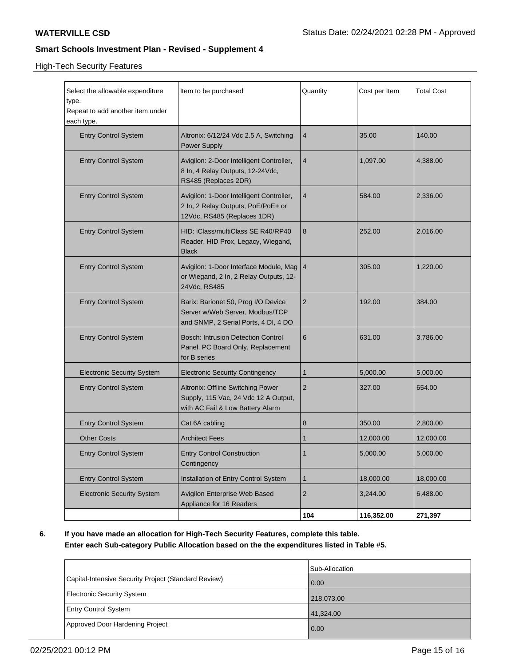High-Tech Security Features

| Select the allowable expenditure<br>type.<br>Repeat to add another item under<br>each type. | Item to be purchased                                                                                                 | Quantity         | Cost per Item | <b>Total Cost</b> |
|---------------------------------------------------------------------------------------------|----------------------------------------------------------------------------------------------------------------------|------------------|---------------|-------------------|
| <b>Entry Control System</b>                                                                 | Altronix: 6/12/24 Vdc 2.5 A, Switching<br><b>Power Supply</b>                                                        | $\overline{4}$   | 35.00         | 140.00            |
| <b>Entry Control System</b>                                                                 | Avigilon: 2-Door Intelligent Controller,<br>8 In, 4 Relay Outputs, 12-24Vdc,<br>RS485 (Replaces 2DR)                 | $\overline{4}$   | 1,097.00      | 4,388.00          |
| <b>Entry Control System</b>                                                                 | Avigilon: 1-Door Intelligent Controller,<br>2 In, 2 Relay Outputs, PoE/PoE+ or<br>12Vdc, RS485 (Replaces 1DR)        | $\overline{4}$   | 584.00        | 2,336.00          |
| <b>Entry Control System</b>                                                                 | HID: iClass/multiClass SE R40/RP40<br>Reader, HID Prox, Legacy, Wiegand,<br><b>Black</b>                             | $\boldsymbol{8}$ | 252.00        | 2,016.00          |
| <b>Entry Control System</b>                                                                 | Avigilon: 1-Door Interface Module, Mag<br>or Wiegand, 2 In, 2 Relay Outputs, 12-<br>24Vdc, RS485                     | $\overline{4}$   | 305.00        | 1,220.00          |
| <b>Entry Control System</b>                                                                 | Barix: Barionet 50, Prog I/O Device<br>Server w/Web Server, Modbus/TCP<br>and SNMP, 2 Serial Ports, 4 DI, 4 DO       | 2                | 192.00        | 384.00            |
| <b>Entry Control System</b>                                                                 | <b>Bosch: Intrusion Detection Control</b><br>Panel, PC Board Only, Replacement<br>for B series                       | 6                | 631.00        | 3,786.00          |
| <b>Electronic Security System</b>                                                           | <b>Electronic Security Contingency</b>                                                                               | $\mathbf{1}$     | 5,000.00      | 5,000.00          |
| <b>Entry Control System</b>                                                                 | <b>Altronix: Offline Switching Power</b><br>Supply, 115 Vac, 24 Vdc 12 A Output,<br>with AC Fail & Low Battery Alarm | $\overline{2}$   | 327.00        | 654.00            |
| <b>Entry Control System</b>                                                                 | Cat 6A cabling                                                                                                       | 8                | 350.00        | 2,800.00          |
| <b>Other Costs</b>                                                                          | <b>Architect Fees</b>                                                                                                | 1                | 12,000.00     | 12,000.00         |
| <b>Entry Control System</b>                                                                 | <b>Entry Control Construction</b><br>Contingency                                                                     | $\mathbf{1}$     | 5,000.00      | 5,000.00          |
| <b>Entry Control System</b>                                                                 | Installation of Entry Control System                                                                                 | $\mathbf 1$      | 18,000.00     | 18,000.00         |
| <b>Electronic Security System</b>                                                           | Avigilon Enterprise Web Based<br>Appliance for 16 Readers                                                            | $\overline{2}$   | 3,244.00      | 6,488.00          |
|                                                                                             |                                                                                                                      | 104              | 116,352.00    | 271,397           |

**6. If you have made an allocation for High-Tech Security Features, complete this table. Enter each Sub-category Public Allocation based on the the expenditures listed in Table #5.**

|                                                      | Sub-Allocation    |
|------------------------------------------------------|-------------------|
| Capital-Intensive Security Project (Standard Review) | $\overline{0.00}$ |
| <b>Electronic Security System</b>                    | 218,073.00        |
| <b>Entry Control System</b>                          | 41,324.00         |
| Approved Door Hardening Project                      | 0.00              |